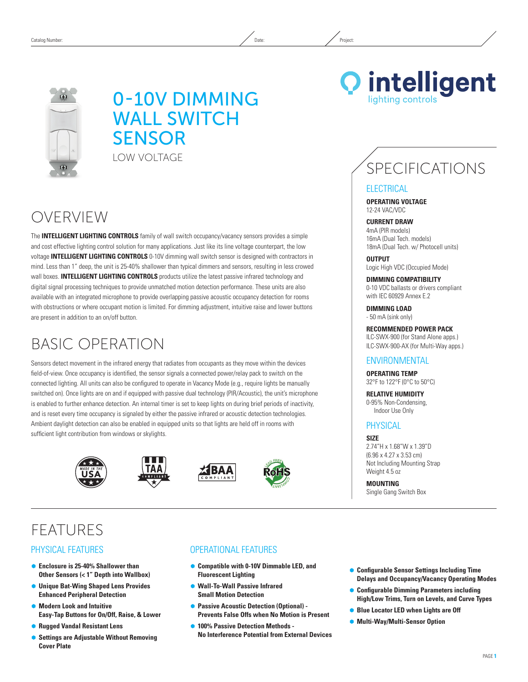

# 0-10V Dimming **WALL SWITCH SENSOR** LOW Voltage

# OVERVIEW

The **INTELLIGENT LIGHTING CONTROLS** family of wall switch occupancy/vacancy sensors provides a simple and cost effective lighting control solution for many applications. Just like its line voltage counterpart, the low voltage **INTELLIGENT LIGHTING CONTROLS** 0-10V dimming wall switch sensor is designed with contractors in mind. Less than 1" deep, the unit is 25-40% shallower than typical dimmers and sensors, resulting in less crowed wall boxes. **INTELLIGENT LIGHTING CONTROLS** products utilize the latest passive infrared technology and digital signal processing techniques to provide unmatched motion detection performance. These units are also available with an integrated microphone to provide overlapping passive acoustic occupancy detection for rooms with obstructions or where occupant motion is limited. For dimming adjustment, intuitive raise and lower buttons are present in addition to an on/off button.

# Basic Operation

Sensors detect movement in the infrared energy that radiates from occupants as they move within the devices field-of-view. Once occupancy is identified, the sensor signals a connected power/relay pack to switch on the connected lighting. All units can also be configured to operate in Vacancy Mode (e.g., require lights be manually switched on). Once lights are on and if equipped with passive dual technology (PIR/Acoustic), the unit's microphone is enabled to further enhance detection. An internal timer is set to keep lights on during brief periods of inactivity, and is reset every time occupancy is signaled by either the passive infrared or acoustic detection technologies. Ambient daylight detection can also be enabled in equipped units so that lights are held off in rooms with sufficient light contribution from windows or skylights.









# **FEATURES**

### Physical Features

- Ã **Enclosure is 25-40% Shallower than Other Sensors (< 1" Depth into Wallbox)**
- Ã **Unique Bat-Wing Shaped Lens Provides Enhanced Peripheral Detection**
- $\bullet$  **Modern Look and Intuitive Easy-Tap Buttons for On/Off, Raise, & Lower**
- Ã **Rugged Vandal Resistant Lens**
- **Settings are Adjustable Without Removing Cover Plate**

### Operational Features

- Ã **Compatible with 0-10V Dimmable LED, and Fluorescent Lighting**
- Ã **Wall-To-Wall Passive Infrared Small Motion Detection**
- **Passive Acoustic Detection (Optional) -Prevents False Offs when No Motion is Present**
- $\bullet$  **100% Passive Detection Methods -No Interference Potential from External Devices**
- Ã **Configurable Sensor Settings Including Time Delays and Occupancy/Vacancy Operating Modes**
- Ã **Configurable Dimming Parameters including High/Low Trims, Turn on Levels, and Curve Types**
- **Blue Locator LED when Lights are Off**
- Ã **Multi-Way/Multi-Sensor Option**

# SPECIFICATIONS

### **ELECTRICAL**

**Operating Voltage** 12-24 VAC/VDC

#### **CURRENT DRAW** 4mA (PIR models) 16mA (Dual Tech. models)

18mA (Dual Tech. w/ Photocell units)

**OUTPUT** Logic High VDC (Occupied Mode)

**DIMMING Compatibility** 0-10 VDC ballasts or drivers compliant with IEC 60929 Annex E.2

**DIMMING LOAD** - 50 mA (sink only)

**RECOMMENDED POWER PACK** ILC-SWX-900 (for Stand Alone apps.) ILC-SWX-900-AX (for Multi-Way apps.)

### **ENVIRONMENTAL**

**Operating Temp** 32°F to 122°F (0°C to 50°C)

**Relative Humidity** 0-95% Non-Condensing, Indoor Use Only

## **PHYSICAL**

**Size** 2.74"H x 1.68"W x 1.39"D (6.96 x 4.27 x 3.53 cm) Not Including Mounting Strap Weight 4.5 oz

**Mounting** Single Gang Switch Box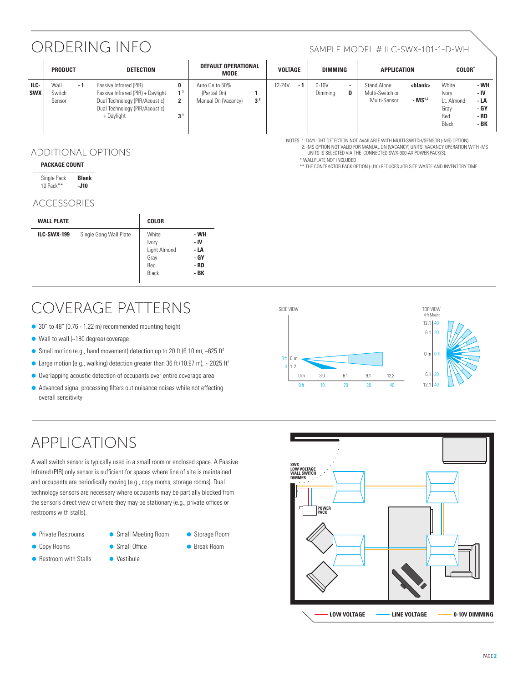# ORDERING INFO SAMPLE MODEL # ILC-SWX-101-1-D-WH

\*\* The Contractor Pack option (-J10) reduces job site waste and inventory time

Notes 1: DAYLIGHT DETECTION NOT AVAILABLE WITH MULTI-SWITCH/SENSOR (-MS) Option) 2: -MS Option not Valid for MANUAL ON (VACANCY) UNITS. VACANCY OPERATION with -MS units is SELECTED vIA the CONNECTED SWX-900-AX power pack(s).

|                    | <b>PRODUCT</b>           |      | <b>DETECTION</b>                                                                                                                              |                                            | DEFAULT OPERATIONAL<br><b>MODE</b>                    |                | <b>VOLTAGE</b> |     | <b>DIMMING</b>   |                               | <b>APPLICATION</b>                             |                                         | <b>COLOR</b>                                         |                                              |
|--------------------|--------------------------|------|-----------------------------------------------------------------------------------------------------------------------------------------------|--------------------------------------------|-------------------------------------------------------|----------------|----------------|-----|------------------|-------------------------------|------------------------------------------------|-----------------------------------------|------------------------------------------------------|----------------------------------------------|
| ILC-<br><b>SWX</b> | Wall<br>Switch<br>Sensor | $-1$ | Passive Infrared (PIR)<br>Passive Infrared (PIR) + Daylight<br>Dual Technology (PIR/Acoustic)<br>Dual Technology (PIR/Acoustic)<br>+ Daylight | 0<br>1 <sup>1</sup><br>2<br>3 <sup>1</sup> | Auto On to 50%<br>(Partial On)<br>Manual On (Vacancy) | 3 <sup>2</sup> | 12-24V         | - 1 | 0-10V<br>Dimming | $\overline{\phantom{a}}$<br>D | Stand Alone<br>Multi-Switch or<br>Multi-Sensor | <blank><br/><math>-MS1,2</math></blank> | White<br>Ivory<br>Lt. Almond<br>Grav<br>Red<br>Black | - WH<br>- IV<br>- LA<br>- GY<br>- RD<br>- BK |

\* Wallplate not included

### ADDITIONAL OPTIONS

#### **Package Count**

| Single Pack | <b>Blank</b> |
|-------------|--------------|
| 10 Pack**   | -J10         |

### ACCESSORIES

| <b>WALL PLATE</b>  |                        | <b>COLOR</b>                                           |                                              |
|--------------------|------------------------|--------------------------------------------------------|----------------------------------------------|
| <b>ILC-SWX-199</b> | Single Gang Wall Plate | White<br>Ivory<br>Light Almond<br>Gray<br>Red<br>Black | - WH<br>- IV<br>- LA<br>- GY<br>- RD<br>- BK |

# Coverage Patterns

- 30" to 48" (0.76 1.22 m) recommended mounting height
- $\bullet$  Wall to wall (~180 degree) coverage
- $\bullet$  Small motion (e.g., hand movement) detection up to 20 ft (6.10 m), ~625 ft<sup>2</sup>
- Large motion (e.g., walking) detection greater than 36 ft (10.97 m),  $\sim$  2025 ft<sup>2</sup>
- $\bullet$  Overlapping acoustic detection of occupants over entire coverage area
- $\bullet$  Advanced signal processing filters out nuisance noises while not effecting overall sensitivity

# APPLICATIONS

A wall switch sensor is typically used in a small room or enclosed space. A Passive Infrared (PIR) only sensor is sufficient for spaces where line of site is maintained and occupants are periodically moving (e.g., copy rooms, storage rooms). Dual technology sensors are necessary where occupants may be partially blocked from the sensor's direct view or where they may be stationary (e.g., private offices or restrooms with stalls).

- **Private Restrooms**
- **Copy Rooms**
- **Restroom with Stalls**
- **Small Meeting Room** 
	- Ã Break Room

● Storage Room

• Small Office  $\bullet$  Vestibule



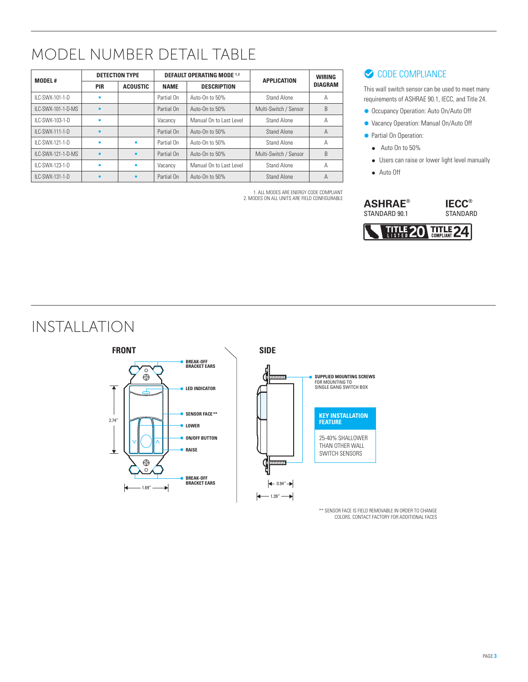# MODEL NUMBER DETAIL TABLE

| <b>MODEL#</b>       |            | <b>DETECTION TYPE</b> |             | <b>DEFAULT OPERATING MODE 1.2</b> | <b>APPLICATION</b>    | <b>WIRING</b><br><b>DIAGRAM</b> |  |
|---------------------|------------|-----------------------|-------------|-----------------------------------|-----------------------|---------------------------------|--|
|                     | <b>PIR</b> | <b>ACOUSTIC</b>       | <b>NAME</b> | <b>DESCRIPTION</b>                |                       |                                 |  |
| II C-SWX-101-1-D    | ٠          |                       | Partial On  | Auto-On to 50%                    | Stand Alone           | А                               |  |
| II C-SWX-101-1-D-MS |            |                       | Partial On  | Auto-On to 50%                    | Multi-Switch / Sensor | B                               |  |
| ILC-SWX-103-1-D     | $\bullet$  |                       | Vacancy     | Manual On to Last Level           | Stand Alone           | А                               |  |
| ILC-SWX-111-1-D     |            |                       | Partial On  | Auto-On to 50%                    | Stand Alone           | Α                               |  |
| II C-SWX-121-1-D    | ٠          | ۰                     | Partial On  | Auto-On to 50%                    | Stand Alone           | А                               |  |
| II C-SWX-121-1-D-MS | $\bullet$  |                       | Partial On  | Auto-On to 50%                    | Multi-Switch / Sensor | B                               |  |
| ILC-SWX-123-1-D     | ٠          |                       | Vacancy     | Manual On to Last Level           | Stand Alone           | А                               |  |
| ILC-SWX-131-1-D     |            |                       | Partial On  | Auto-On to 50%                    | Stand Alone           | Α                               |  |

1. All modes are energy code compliant 2. MODES ON ALL UNITS ARE FIELD CONFIGURABLE

# CODE COMPLIANCE

This wall switch sensor can be used to meet many requirements of ASHRAE 90.1, IECC, and Title 24.

- **Occupancy Operation: Auto On/Auto Off**
- Ã Vacancy Operation: Manual On/Auto Off
- **Partial On Operation:** 
	- Auto On to 50%
	- Users can raise or lower light level manually
	- Auto Off



# Installation



\*\* SENSOR FACE IS FIELD REMOVABLE IN ORDER TO CHANGE COLORS. CONTACT FACTORY FOR ADDITIONAL FACES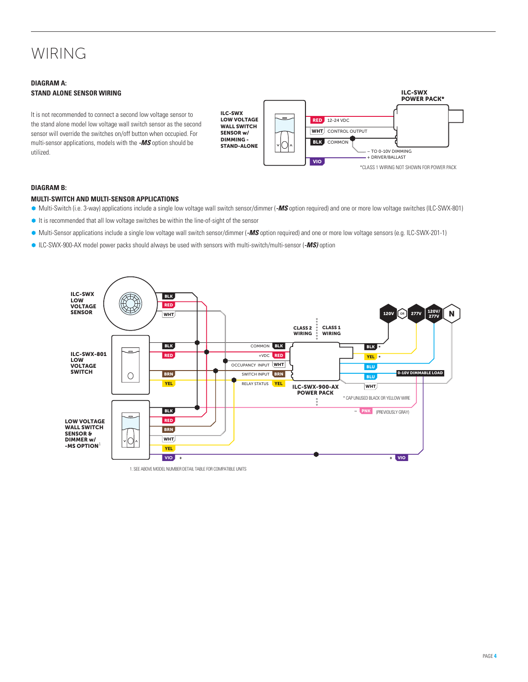# WIRING

### **DIAGRAM A: Stand ALone SENSOR Wiring**

It is not recommended to connect a second low voltage sensor to the stand alone model low voltage wall switch sensor as the second sensor will override the switches on/off button when occupied. For multi-sensor applications, models with the *-MS* option should be utilized.

ILC-SWX LOW VOLTAGE WALL SWITCH SENSOR w/ DIMMING - STAND-ALONE



#### **DIAGRAM B:**

#### **MULTI-SWITCH and MULTI-SENSOR APPLICATIONS**

- Ã Multi-Switch (i.e. 3-way) applications include a single low voltage wall switch sensor/dimmer (*-MS* option required) and one or more low voltage switches (ILC-SWX-801)
- It is recommended that all low voltage switches be within the line-of-sight of the sensor
- Ã Multi-Sensor applications include a single low voltage wall switch sensor/dimmer (*-MS* option required) and one or more low voltage sensors (e.g. ILC-SWX-201-1)
- Ã ILC-SWX-900-AX model power packs should always be used with sensors with multi-switch/multi-sensor (*-MS)* option